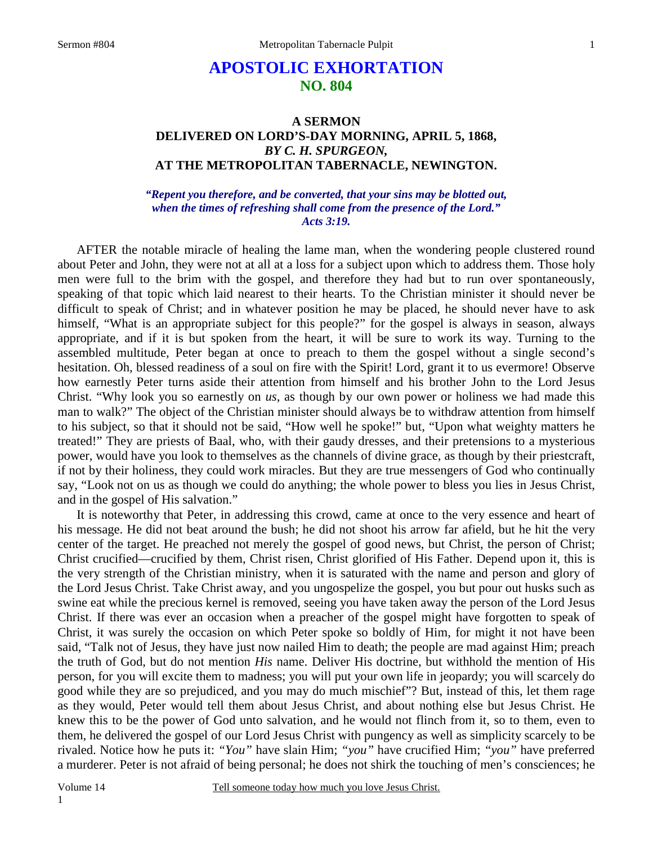# **APOSTOLIC EXHORTATION NO. 804**

## **A SERMON DELIVERED ON LORD'S-DAY MORNING, APRIL 5, 1868,**  *BY C. H. SPURGEON,*  **AT THE METROPOLITAN TABERNACLE, NEWINGTON.**

*"Repent you therefore, and be converted, that your sins may be blotted out, when the times of refreshing shall come from the presence of the Lord." Acts 3:19.*

 AFTER the notable miracle of healing the lame man, when the wondering people clustered round about Peter and John, they were not at all at a loss for a subject upon which to address them. Those holy men were full to the brim with the gospel, and therefore they had but to run over spontaneously, speaking of that topic which laid nearest to their hearts. To the Christian minister it should never be difficult to speak of Christ; and in whatever position he may be placed, he should never have to ask himself, "What is an appropriate subject for this people?" for the gospel is always in season, always appropriate, and if it is but spoken from the heart, it will be sure to work its way. Turning to the assembled multitude, Peter began at once to preach to them the gospel without a single second's hesitation. Oh, blessed readiness of a soul on fire with the Spirit! Lord, grant it to us evermore! Observe how earnestly Peter turns aside their attention from himself and his brother John to the Lord Jesus Christ. "Why look you so earnestly on *us*, as though by our own power or holiness we had made this man to walk?" The object of the Christian minister should always be to withdraw attention from himself to his subject, so that it should not be said, "How well he spoke!" but, "Upon what weighty matters he treated!" They are priests of Baal, who, with their gaudy dresses, and their pretensions to a mysterious power, would have you look to themselves as the channels of divine grace, as though by their priestcraft, if not by their holiness, they could work miracles. But they are true messengers of God who continually say, "Look not on us as though we could do anything; the whole power to bless you lies in Jesus Christ, and in the gospel of His salvation."

 It is noteworthy that Peter, in addressing this crowd, came at once to the very essence and heart of his message. He did not beat around the bush; he did not shoot his arrow far afield, but he hit the very center of the target. He preached not merely the gospel of good news, but Christ, the person of Christ; Christ crucified—crucified by them, Christ risen, Christ glorified of His Father. Depend upon it, this is the very strength of the Christian ministry, when it is saturated with the name and person and glory of the Lord Jesus Christ. Take Christ away, and you ungospelize the gospel, you but pour out husks such as swine eat while the precious kernel is removed, seeing you have taken away the person of the Lord Jesus Christ. If there was ever an occasion when a preacher of the gospel might have forgotten to speak of Christ, it was surely the occasion on which Peter spoke so boldly of Him, for might it not have been said, "Talk not of Jesus, they have just now nailed Him to death; the people are mad against Him; preach the truth of God, but do not mention *His* name. Deliver His doctrine, but withhold the mention of His person, for you will excite them to madness; you will put your own life in jeopardy; you will scarcely do good while they are so prejudiced, and you may do much mischief"? But, instead of this, let them rage as they would, Peter would tell them about Jesus Christ, and about nothing else but Jesus Christ. He knew this to be the power of God unto salvation, and he would not flinch from it, so to them, even to them, he delivered the gospel of our Lord Jesus Christ with pungency as well as simplicity scarcely to be rivaled. Notice how he puts it: *"You"* have slain Him; *"you"* have crucified Him; *"you"* have preferred a murderer. Peter is not afraid of being personal; he does not shirk the touching of men's consciences; he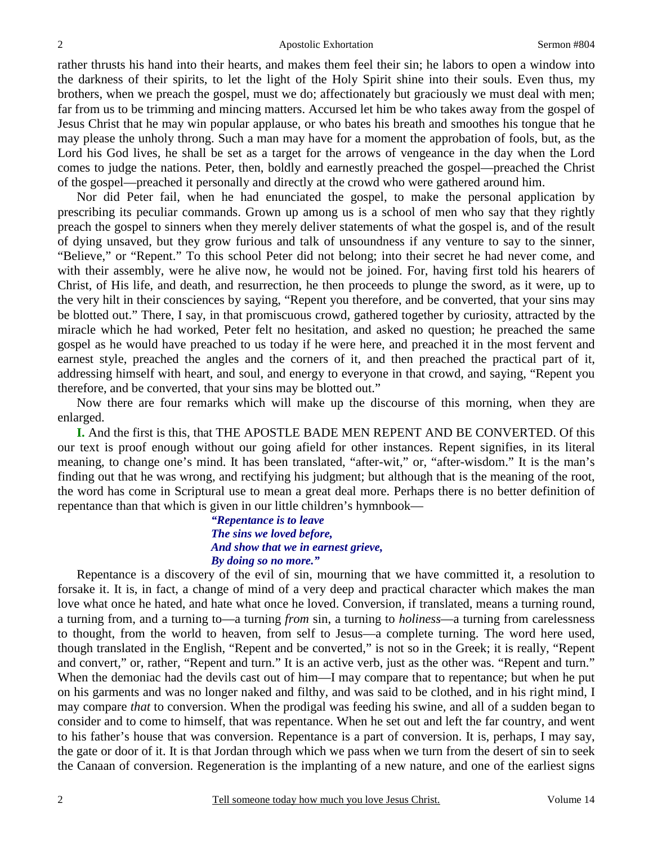rather thrusts his hand into their hearts, and makes them feel their sin; he labors to open a window into the darkness of their spirits, to let the light of the Holy Spirit shine into their souls. Even thus, my brothers, when we preach the gospel, must we do; affectionately but graciously we must deal with men; far from us to be trimming and mincing matters. Accursed let him be who takes away from the gospel of Jesus Christ that he may win popular applause, or who bates his breath and smoothes his tongue that he may please the unholy throng. Such a man may have for a moment the approbation of fools, but, as the Lord his God lives, he shall be set as a target for the arrows of vengeance in the day when the Lord comes to judge the nations. Peter, then, boldly and earnestly preached the gospel—preached the Christ of the gospel—preached it personally and directly at the crowd who were gathered around him.

 Nor did Peter fail, when he had enunciated the gospel, to make the personal application by prescribing its peculiar commands. Grown up among us is a school of men who say that they rightly preach the gospel to sinners when they merely deliver statements of what the gospel is, and of the result of dying unsaved, but they grow furious and talk of unsoundness if any venture to say to the sinner, "Believe," or "Repent." To this school Peter did not belong; into their secret he had never come, and with their assembly, were he alive now, he would not be joined. For, having first told his hearers of Christ, of His life, and death, and resurrection, he then proceeds to plunge the sword, as it were, up to the very hilt in their consciences by saying, "Repent you therefore, and be converted, that your sins may be blotted out." There, I say, in that promiscuous crowd, gathered together by curiosity, attracted by the miracle which he had worked, Peter felt no hesitation, and asked no question; he preached the same gospel as he would have preached to us today if he were here, and preached it in the most fervent and earnest style, preached the angles and the corners of it, and then preached the practical part of it, addressing himself with heart, and soul, and energy to everyone in that crowd, and saying, "Repent you therefore, and be converted, that your sins may be blotted out."

 Now there are four remarks which will make up the discourse of this morning, when they are enlarged.

**I.** And the first is this, that THE APOSTLE BADE MEN REPENT AND BE CONVERTED. Of this our text is proof enough without our going afield for other instances. Repent signifies, in its literal meaning, to change one's mind. It has been translated, "after-wit," or, "after-wisdom." It is the man's finding out that he was wrong, and rectifying his judgment; but although that is the meaning of the root, the word has come in Scriptural use to mean a great deal more. Perhaps there is no better definition of repentance than that which is given in our little children's hymnbook—

> *"Repentance is to leave The sins we loved before, And show that we in earnest grieve, By doing so no more."*

 Repentance is a discovery of the evil of sin, mourning that we have committed it, a resolution to forsake it. It is, in fact, a change of mind of a very deep and practical character which makes the man love what once he hated, and hate what once he loved. Conversion, if translated, means a turning round, a turning from, and a turning to—a turning *from* sin, a turning to *holiness*—a turning from carelessness to thought, from the world to heaven, from self to Jesus—a complete turning. The word here used, though translated in the English, "Repent and be converted," is not so in the Greek; it is really, "Repent and convert," or, rather, "Repent and turn." It is an active verb, just as the other was. "Repent and turn." When the demoniac had the devils cast out of him—I may compare that to repentance; but when he put on his garments and was no longer naked and filthy, and was said to be clothed, and in his right mind, I may compare *that* to conversion. When the prodigal was feeding his swine, and all of a sudden began to consider and to come to himself, that was repentance. When he set out and left the far country, and went to his father's house that was conversion. Repentance is a part of conversion. It is, perhaps, I may say, the gate or door of it. It is that Jordan through which we pass when we turn from the desert of sin to seek the Canaan of conversion. Regeneration is the implanting of a new nature, and one of the earliest signs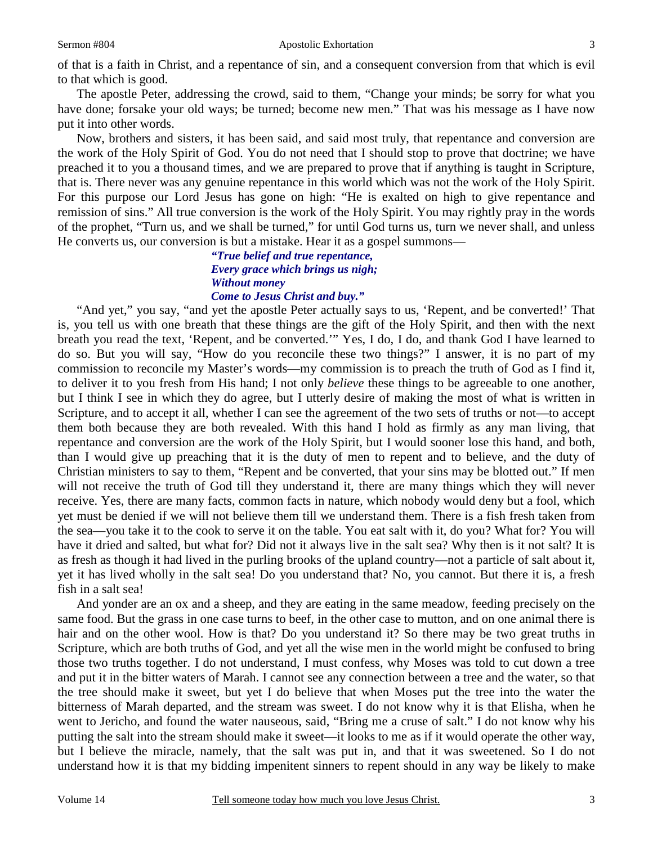of that is a faith in Christ, and a repentance of sin, and a consequent conversion from that which is evil to that which is good.

 The apostle Peter, addressing the crowd, said to them, "Change your minds; be sorry for what you have done; forsake your old ways; be turned; become new men." That was his message as I have now put it into other words.

 Now, brothers and sisters, it has been said, and said most truly, that repentance and conversion are the work of the Holy Spirit of God. You do not need that I should stop to prove that doctrine; we have preached it to you a thousand times, and we are prepared to prove that if anything is taught in Scripture, that is. There never was any genuine repentance in this world which was not the work of the Holy Spirit. For this purpose our Lord Jesus has gone on high: "He is exalted on high to give repentance and remission of sins." All true conversion is the work of the Holy Spirit. You may rightly pray in the words of the prophet, "Turn us, and we shall be turned," for until God turns us, turn we never shall, and unless He converts us, our conversion is but a mistake. Hear it as a gospel summons—

### *"True belief and true repentance, Every grace which brings us nigh; Without money Come to Jesus Christ and buy."*

 "And yet," you say, "and yet the apostle Peter actually says to us, 'Repent, and be converted!' That is, you tell us with one breath that these things are the gift of the Holy Spirit, and then with the next breath you read the text, 'Repent, and be converted.'" Yes, I do, I do, and thank God I have learned to do so. But you will say, "How do you reconcile these two things?" I answer, it is no part of my commission to reconcile my Master's words—my commission is to preach the truth of God as I find it, to deliver it to you fresh from His hand; I not only *believe* these things to be agreeable to one another, but I think I see in which they do agree, but I utterly desire of making the most of what is written in Scripture, and to accept it all, whether I can see the agreement of the two sets of truths or not—to accept them both because they are both revealed. With this hand I hold as firmly as any man living, that repentance and conversion are the work of the Holy Spirit, but I would sooner lose this hand, and both, than I would give up preaching that it is the duty of men to repent and to believe, and the duty of Christian ministers to say to them, "Repent and be converted, that your sins may be blotted out." If men will not receive the truth of God till they understand it, there are many things which they will never receive. Yes, there are many facts, common facts in nature, which nobody would deny but a fool, which yet must be denied if we will not believe them till we understand them. There is a fish fresh taken from the sea—you take it to the cook to serve it on the table. You eat salt with it, do you? What for? You will have it dried and salted, but what for? Did not it always live in the salt sea? Why then is it not salt? It is as fresh as though it had lived in the purling brooks of the upland country—not a particle of salt about it, yet it has lived wholly in the salt sea! Do you understand that? No, you cannot. But there it is, a fresh fish in a salt sea!

 And yonder are an ox and a sheep, and they are eating in the same meadow, feeding precisely on the same food. But the grass in one case turns to beef, in the other case to mutton, and on one animal there is hair and on the other wool. How is that? Do you understand it? So there may be two great truths in Scripture, which are both truths of God, and yet all the wise men in the world might be confused to bring those two truths together. I do not understand, I must confess, why Moses was told to cut down a tree and put it in the bitter waters of Marah. I cannot see any connection between a tree and the water, so that the tree should make it sweet, but yet I do believe that when Moses put the tree into the water the bitterness of Marah departed, and the stream was sweet. I do not know why it is that Elisha, when he went to Jericho, and found the water nauseous, said, "Bring me a cruse of salt." I do not know why his putting the salt into the stream should make it sweet—it looks to me as if it would operate the other way, but I believe the miracle, namely, that the salt was put in, and that it was sweetened. So I do not understand how it is that my bidding impenitent sinners to repent should in any way be likely to make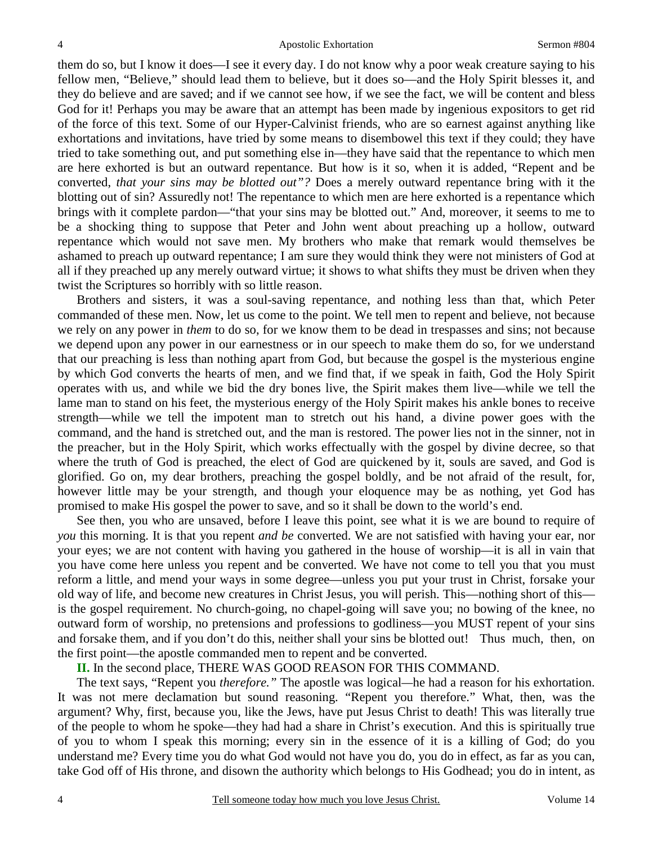them do so, but I know it does—I see it every day. I do not know why a poor weak creature saying to his fellow men, "Believe," should lead them to believe, but it does so—and the Holy Spirit blesses it, and they do believe and are saved; and if we cannot see how, if we see the fact, we will be content and bless God for it! Perhaps you may be aware that an attempt has been made by ingenious expositors to get rid of the force of this text. Some of our Hyper-Calvinist friends, who are so earnest against anything like exhortations and invitations, have tried by some means to disembowel this text if they could; they have tried to take something out, and put something else in—they have said that the repentance to which men are here exhorted is but an outward repentance. But how is it so, when it is added, "Repent and be converted, *that your sins may be blotted out"?* Does a merely outward repentance bring with it the blotting out of sin? Assuredly not! The repentance to which men are here exhorted is a repentance which brings with it complete pardon—"that your sins may be blotted out." And, moreover, it seems to me to be a shocking thing to suppose that Peter and John went about preaching up a hollow, outward repentance which would not save men. My brothers who make that remark would themselves be ashamed to preach up outward repentance; I am sure they would think they were not ministers of God at all if they preached up any merely outward virtue; it shows to what shifts they must be driven when they twist the Scriptures so horribly with so little reason.

 Brothers and sisters, it was a soul-saving repentance, and nothing less than that, which Peter commanded of these men. Now, let us come to the point. We tell men to repent and believe, not because we rely on any power in *them* to do so, for we know them to be dead in trespasses and sins; not because we depend upon any power in our earnestness or in our speech to make them do so, for we understand that our preaching is less than nothing apart from God, but because the gospel is the mysterious engine by which God converts the hearts of men, and we find that, if we speak in faith, God the Holy Spirit operates with us, and while we bid the dry bones live, the Spirit makes them live—while we tell the lame man to stand on his feet, the mysterious energy of the Holy Spirit makes his ankle bones to receive strength—while we tell the impotent man to stretch out his hand, a divine power goes with the command, and the hand is stretched out, and the man is restored. The power lies not in the sinner, not in the preacher, but in the Holy Spirit, which works effectually with the gospel by divine decree, so that where the truth of God is preached, the elect of God are quickened by it, souls are saved, and God is glorified. Go on, my dear brothers, preaching the gospel boldly, and be not afraid of the result, for, however little may be your strength, and though your eloquence may be as nothing, yet God has promised to make His gospel the power to save, and so it shall be down to the world's end.

 See then, you who are unsaved, before I leave this point, see what it is we are bound to require of *you* this morning. It is that you repent *and be* converted. We are not satisfied with having your ear, nor your eyes; we are not content with having you gathered in the house of worship—it is all in vain that you have come here unless you repent and be converted. We have not come to tell you that you must reform a little, and mend your ways in some degree—unless you put your trust in Christ, forsake your old way of life, and become new creatures in Christ Jesus, you will perish. This—nothing short of this is the gospel requirement. No church-going, no chapel-going will save you; no bowing of the knee, no outward form of worship, no pretensions and professions to godliness—you MUST repent of your sins and forsake them, and if you don't do this, neither shall your sins be blotted out! Thus much, then, on the first point—the apostle commanded men to repent and be converted.

**II.** In the second place, THERE WAS GOOD REASON FOR THIS COMMAND.

 The text says, "Repent you *therefore."* The apostle was logical*—*he had a reason for his exhortation. It was not mere declamation but sound reasoning. "Repent you therefore." What, then, was the argument? Why, first, because you, like the Jews, have put Jesus Christ to death! This was literally true of the people to whom he spoke—they had had a share in Christ's execution. And this is spiritually true of you to whom I speak this morning; every sin in the essence of it is a killing of God; do you understand me? Every time you do what God would not have you do, you do in effect, as far as you can, take God off of His throne, and disown the authority which belongs to His Godhead; you do in intent, as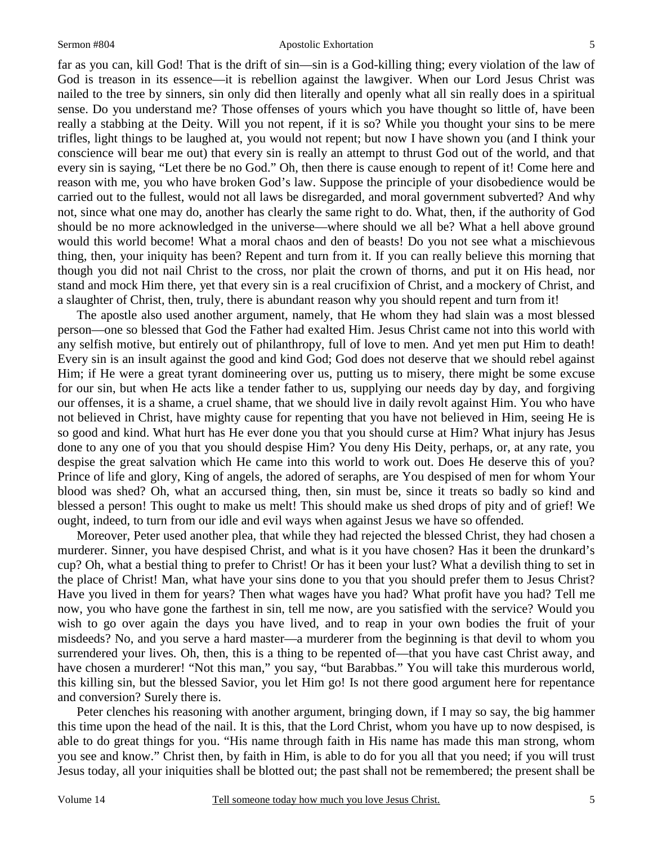### Sermon #804 Apostolic Exhortation

far as you can, kill God! That is the drift of sin—sin is a God-killing thing; every violation of the law of God is treason in its essence—it is rebellion against the lawgiver. When our Lord Jesus Christ was nailed to the tree by sinners, sin only did then literally and openly what all sin really does in a spiritual sense. Do you understand me? Those offenses of yours which you have thought so little of, have been really a stabbing at the Deity. Will you not repent, if it is so? While you thought your sins to be mere trifles, light things to be laughed at, you would not repent; but now I have shown you (and I think your conscience will bear me out) that every sin is really an attempt to thrust God out of the world, and that every sin is saying, "Let there be no God." Oh, then there is cause enough to repent of it! Come here and reason with me, you who have broken God's law. Suppose the principle of your disobedience would be carried out to the fullest, would not all laws be disregarded, and moral government subverted? And why not, since what one may do, another has clearly the same right to do. What, then, if the authority of God should be no more acknowledged in the universe—where should we all be? What a hell above ground would this world become! What a moral chaos and den of beasts! Do you not see what a mischievous thing, then, your iniquity has been? Repent and turn from it. If you can really believe this morning that though you did not nail Christ to the cross, nor plait the crown of thorns, and put it on His head, nor stand and mock Him there, yet that every sin is a real crucifixion of Christ, and a mockery of Christ, and a slaughter of Christ, then, truly, there is abundant reason why you should repent and turn from it!

 The apostle also used another argument, namely, that He whom they had slain was a most blessed person—one so blessed that God the Father had exalted Him. Jesus Christ came not into this world with any selfish motive, but entirely out of philanthropy, full of love to men. And yet men put Him to death! Every sin is an insult against the good and kind God; God does not deserve that we should rebel against Him; if He were a great tyrant domineering over us, putting us to misery, there might be some excuse for our sin, but when He acts like a tender father to us, supplying our needs day by day, and forgiving our offenses, it is a shame, a cruel shame, that we should live in daily revolt against Him. You who have not believed in Christ, have mighty cause for repenting that you have not believed in Him, seeing He is so good and kind. What hurt has He ever done you that you should curse at Him? What injury has Jesus done to any one of you that you should despise Him? You deny His Deity, perhaps, or, at any rate, you despise the great salvation which He came into this world to work out. Does He deserve this of you? Prince of life and glory, King of angels, the adored of seraphs, are You despised of men for whom Your blood was shed? Oh, what an accursed thing, then, sin must be, since it treats so badly so kind and blessed a person! This ought to make us melt! This should make us shed drops of pity and of grief! We ought, indeed, to turn from our idle and evil ways when against Jesus we have so offended.

 Moreover, Peter used another plea, that while they had rejected the blessed Christ, they had chosen a murderer. Sinner, you have despised Christ, and what is it you have chosen? Has it been the drunkard's cup? Oh, what a bestial thing to prefer to Christ! Or has it been your lust? What a devilish thing to set in the place of Christ! Man, what have your sins done to you that you should prefer them to Jesus Christ? Have you lived in them for years? Then what wages have you had? What profit have you had? Tell me now, you who have gone the farthest in sin, tell me now, are you satisfied with the service? Would you wish to go over again the days you have lived, and to reap in your own bodies the fruit of your misdeeds? No, and you serve a hard master—a murderer from the beginning is that devil to whom you surrendered your lives. Oh, then, this is a thing to be repented of—that you have cast Christ away, and have chosen a murderer! "Not this man," you say, "but Barabbas." You will take this murderous world, this killing sin, but the blessed Savior, you let Him go! Is not there good argument here for repentance and conversion? Surely there is.

 Peter clenches his reasoning with another argument, bringing down, if I may so say, the big hammer this time upon the head of the nail. It is this, that the Lord Christ, whom you have up to now despised, is able to do great things for you. "His name through faith in His name has made this man strong, whom you see and know." Christ then, by faith in Him, is able to do for you all that you need; if you will trust Jesus today, all your iniquities shall be blotted out; the past shall not be remembered; the present shall be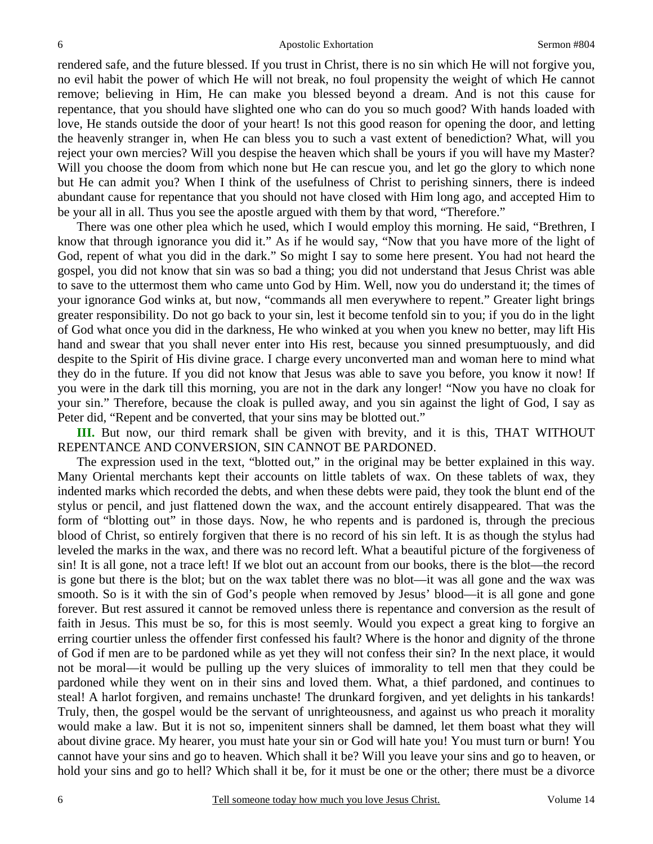rendered safe, and the future blessed. If you trust in Christ, there is no sin which He will not forgive you, no evil habit the power of which He will not break, no foul propensity the weight of which He cannot remove; believing in Him, He can make you blessed beyond a dream. And is not this cause for repentance, that you should have slighted one who can do you so much good? With hands loaded with love, He stands outside the door of your heart! Is not this good reason for opening the door, and letting the heavenly stranger in, when He can bless you to such a vast extent of benediction? What, will you reject your own mercies? Will you despise the heaven which shall be yours if you will have my Master? Will you choose the doom from which none but He can rescue you, and let go the glory to which none but He can admit you? When I think of the usefulness of Christ to perishing sinners, there is indeed abundant cause for repentance that you should not have closed with Him long ago, and accepted Him to be your all in all. Thus you see the apostle argued with them by that word, "Therefore."

 There was one other plea which he used, which I would employ this morning. He said, "Brethren, I know that through ignorance you did it." As if he would say, "Now that you have more of the light of God, repent of what you did in the dark." So might I say to some here present. You had not heard the gospel, you did not know that sin was so bad a thing; you did not understand that Jesus Christ was able to save to the uttermost them who came unto God by Him. Well, now you do understand it; the times of your ignorance God winks at, but now, "commands all men everywhere to repent." Greater light brings greater responsibility. Do not go back to your sin, lest it become tenfold sin to you; if you do in the light of God what once you did in the darkness, He who winked at you when you knew no better, may lift His hand and swear that you shall never enter into His rest, because you sinned presumptuously, and did despite to the Spirit of His divine grace. I charge every unconverted man and woman here to mind what they do in the future. If you did not know that Jesus was able to save you before, you know it now! If you were in the dark till this morning, you are not in the dark any longer! "Now you have no cloak for your sin." Therefore, because the cloak is pulled away, and you sin against the light of God, I say as Peter did, "Repent and be converted, that your sins may be blotted out."

**III.** But now, our third remark shall be given with brevity, and it is this, THAT WITHOUT REPENTANCE AND CONVERSION, SIN CANNOT BE PARDONED.

 The expression used in the text, "blotted out," in the original may be better explained in this way. Many Oriental merchants kept their accounts on little tablets of wax. On these tablets of wax, they indented marks which recorded the debts, and when these debts were paid, they took the blunt end of the stylus or pencil, and just flattened down the wax, and the account entirely disappeared. That was the form of "blotting out" in those days. Now, he who repents and is pardoned is, through the precious blood of Christ, so entirely forgiven that there is no record of his sin left. It is as though the stylus had leveled the marks in the wax, and there was no record left. What a beautiful picture of the forgiveness of sin! It is all gone, not a trace left! If we blot out an account from our books, there is the blot—the record is gone but there is the blot; but on the wax tablet there was no blot—it was all gone and the wax was smooth. So is it with the sin of God's people when removed by Jesus' blood—it is all gone and gone forever. But rest assured it cannot be removed unless there is repentance and conversion as the result of faith in Jesus. This must be so, for this is most seemly. Would you expect a great king to forgive an erring courtier unless the offender first confessed his fault? Where is the honor and dignity of the throne of God if men are to be pardoned while as yet they will not confess their sin? In the next place, it would not be moral—it would be pulling up the very sluices of immorality to tell men that they could be pardoned while they went on in their sins and loved them. What, a thief pardoned, and continues to steal! A harlot forgiven, and remains unchaste! The drunkard forgiven, and yet delights in his tankards! Truly, then, the gospel would be the servant of unrighteousness, and against us who preach it morality would make a law. But it is not so, impenitent sinners shall be damned, let them boast what they will about divine grace. My hearer, you must hate your sin or God will hate you! You must turn or burn! You cannot have your sins and go to heaven. Which shall it be? Will you leave your sins and go to heaven, or hold your sins and go to hell? Which shall it be, for it must be one or the other; there must be a divorce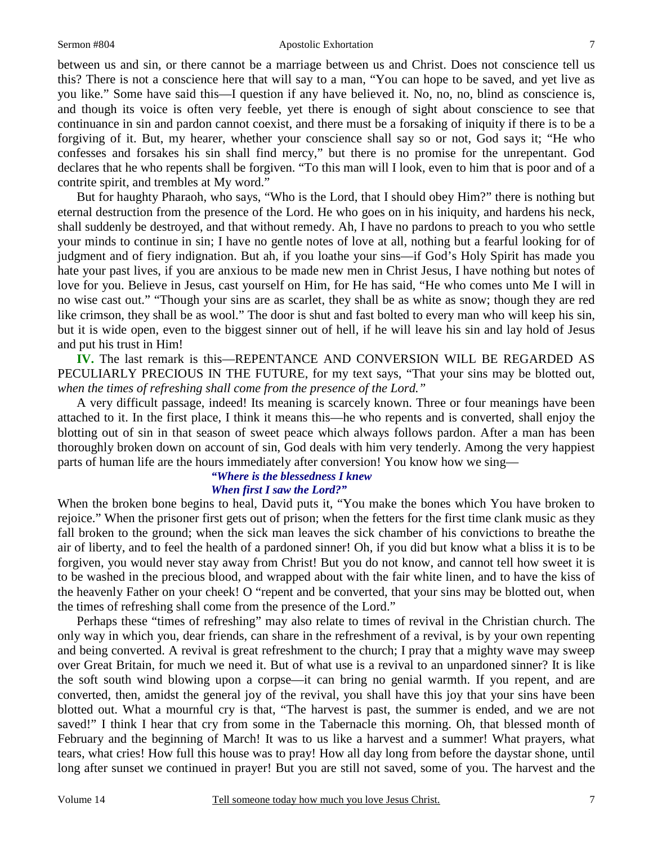### Sermon #804 Apostolic Exhortation

between us and sin, or there cannot be a marriage between us and Christ. Does not conscience tell us this? There is not a conscience here that will say to a man, "You can hope to be saved, and yet live as you like." Some have said this—I question if any have believed it. No, no, no, blind as conscience is, and though its voice is often very feeble, yet there is enough of sight about conscience to see that continuance in sin and pardon cannot coexist, and there must be a forsaking of iniquity if there is to be a forgiving of it. But, my hearer, whether your conscience shall say so or not, God says it; "He who confesses and forsakes his sin shall find mercy," but there is no promise for the unrepentant. God declares that he who repents shall be forgiven. "To this man will I look, even to him that is poor and of a contrite spirit, and trembles at My word."

 But for haughty Pharaoh, who says, "Who is the Lord, that I should obey Him?" there is nothing but eternal destruction from the presence of the Lord. He who goes on in his iniquity, and hardens his neck, shall suddenly be destroyed, and that without remedy. Ah, I have no pardons to preach to you who settle your minds to continue in sin; I have no gentle notes of love at all, nothing but a fearful looking for of judgment and of fiery indignation. But ah, if you loathe your sins—if God's Holy Spirit has made you hate your past lives, if you are anxious to be made new men in Christ Jesus, I have nothing but notes of love for you. Believe in Jesus, cast yourself on Him, for He has said, "He who comes unto Me I will in no wise cast out." "Though your sins are as scarlet, they shall be as white as snow; though they are red like crimson, they shall be as wool." The door is shut and fast bolted to every man who will keep his sin, but it is wide open, even to the biggest sinner out of hell, if he will leave his sin and lay hold of Jesus and put his trust in Him!

**IV.** The last remark is this—REPENTANCE AND CONVERSION WILL BE REGARDED AS PECULIARLY PRECIOUS IN THE FUTURE, for my text says, "That your sins may be blotted out, *when the times of refreshing shall come from the presence of the Lord."*

 A very difficult passage, indeed! Its meaning is scarcely known. Three or four meanings have been attached to it. In the first place, I think it means this—he who repents and is converted, shall enjoy the blotting out of sin in that season of sweet peace which always follows pardon. After a man has been thoroughly broken down on account of sin, God deals with him very tenderly. Among the very happiest parts of human life are the hours immediately after conversion! You know how we sing—

### *"Where is the blessedness I knew When first I saw the Lord?"*

When the broken bone begins to heal, David puts it, "You make the bones which You have broken to rejoice." When the prisoner first gets out of prison; when the fetters for the first time clank music as they fall broken to the ground; when the sick man leaves the sick chamber of his convictions to breathe the air of liberty, and to feel the health of a pardoned sinner! Oh, if you did but know what a bliss it is to be forgiven, you would never stay away from Christ! But you do not know, and cannot tell how sweet it is to be washed in the precious blood, and wrapped about with the fair white linen, and to have the kiss of the heavenly Father on your cheek! O "repent and be converted, that your sins may be blotted out, when the times of refreshing shall come from the presence of the Lord."

 Perhaps these "times of refreshing" may also relate to times of revival in the Christian church. The only way in which you, dear friends, can share in the refreshment of a revival, is by your own repenting and being converted. A revival is great refreshment to the church; I pray that a mighty wave may sweep over Great Britain, for much we need it. But of what use is a revival to an unpardoned sinner? It is like the soft south wind blowing upon a corpse—it can bring no genial warmth. If you repent, and are converted, then, amidst the general joy of the revival, you shall have this joy that your sins have been blotted out. What a mournful cry is that, "The harvest is past, the summer is ended, and we are not saved!" I think I hear that cry from some in the Tabernacle this morning. Oh, that blessed month of February and the beginning of March! It was to us like a harvest and a summer! What prayers, what tears, what cries! How full this house was to pray! How all day long from before the daystar shone, until long after sunset we continued in prayer! But you are still not saved, some of you. The harvest and the